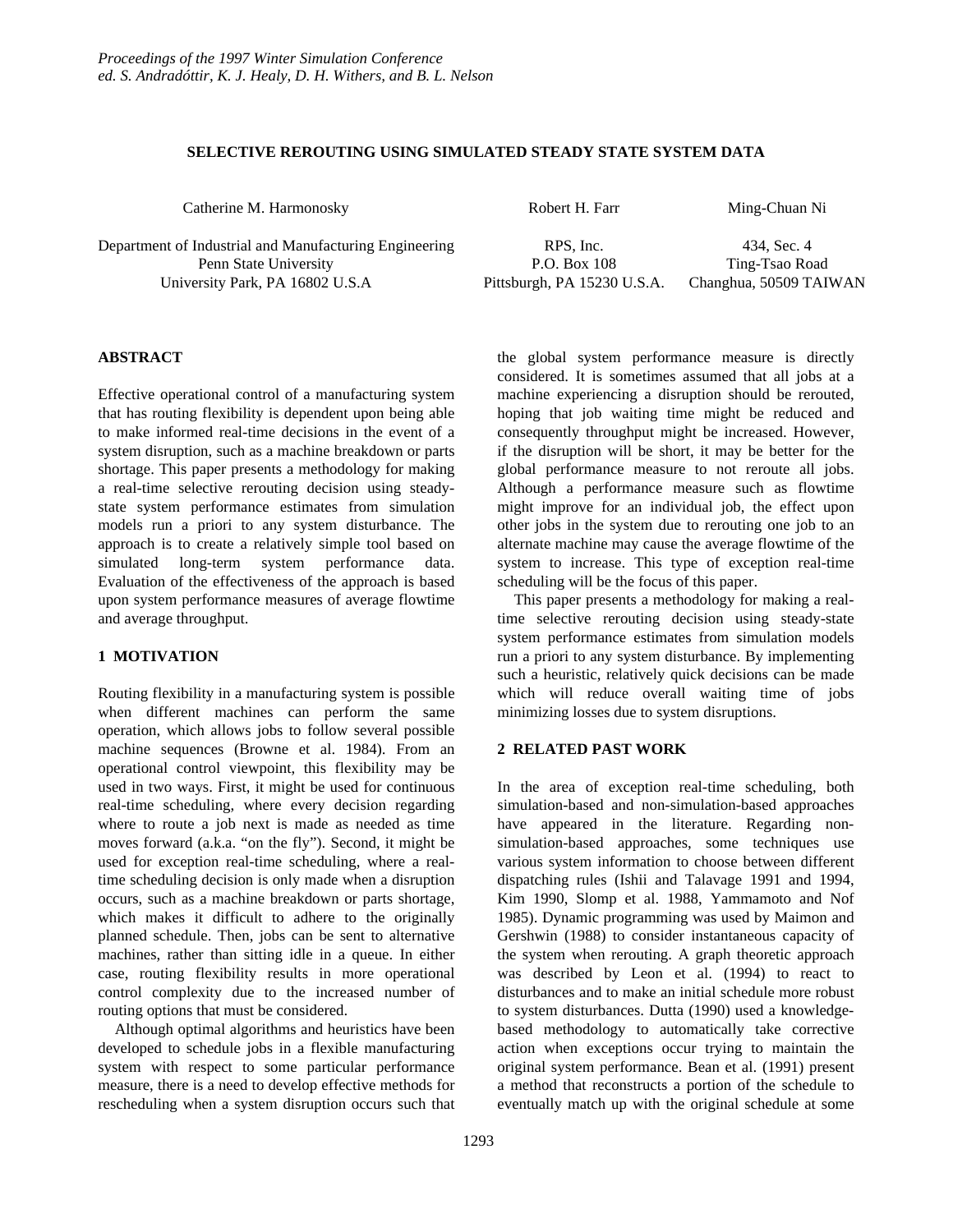# **SELECTIVE REROUTING USING SIMULATED STEADY STATE SYSTEM DATA**

Catherine M. Harmonosky **Robert H. Farr** Ming-Chuan Ni

Department of Industrial and Manufacturing Engineering RPS, Inc. 434, Sec. 4 Penn State University P.O. Box 108 Ting-Tsao Road University Park, PA 16802 U.S.A Pittsburgh, PA 15230 U.S.A. Changhua, 50509 TAIWAN

# **ABSTRACT**

Effective operational control of a manufacturing system that has routing flexibility is dependent upon being able to make informed real-time decisions in the event of a system disruption, such as a machine breakdown or parts shortage. This paper presents a methodology for making a real-time selective rerouting decision using steadystate system performance estimates from simulation models run a priori to any system disturbance. The approach is to create a relatively simple tool based on simulated long-term system performance data. Evaluation of the effectiveness of the approach is based upon system performance measures of average flowtime and average throughput.

# **1 MOTIVATION**

Routing flexibility in a manufacturing system is possible when different machines can perform the same operation, which allows jobs to follow several possible machine sequences (Browne et al. 1984). From an operational control viewpoint, this flexibility may be used in two ways. First, it might be used for continuous real-time scheduling, where every decision regarding where to route a job next is made as needed as time moves forward (a.k.a. "on the fly"). Second, it might be used for exception real-time scheduling, where a realtime scheduling decision is only made when a disruption occurs, such as a machine breakdown or parts shortage, which makes it difficult to adhere to the originally planned schedule. Then, jobs can be sent to alternative machines, rather than sitting idle in a queue. In either case, routing flexibility results in more operational control complexity due to the increased number of routing options that must be considered.

Although optimal algorithms and heuristics have been developed to schedule jobs in a flexible manufacturing system with respect to some particular performance measure, there is a need to develop effective methods for rescheduling when a system disruption occurs such that

the global system performance measure is directly considered. It is sometimes assumed that all jobs at a machine experiencing a disruption should be rerouted, hoping that job waiting time might be reduced and consequently throughput might be increased. However, if the disruption will be short, it may be better for the global performance measure to not reroute all jobs. Although a performance measure such as flowtime might improve for an individual job, the effect upon other jobs in the system due to rerouting one job to an alternate machine may cause the average flowtime of the system to increase. This type of exception real-time scheduling will be the focus of this paper.

This paper presents a methodology for making a realtime selective rerouting decision using steady-state system performance estimates from simulation models run a priori to any system disturbance. By implementing such a heuristic, relatively quick decisions can be made which will reduce overall waiting time of jobs minimizing losses due to system disruptions.

# **2 RELATED PAST WORK**

In the area of exception real-time scheduling, both simulation-based and non-simulation-based approaches have appeared in the literature. Regarding nonsimulation-based approaches, some techniques use various system information to choose between different dispatching rules (Ishii and Talavage 1991 and 1994, Kim 1990, Slomp et al. 1988, Yammamoto and Nof 1985). Dynamic programming was used by Maimon and Gershwin (1988) to consider instantaneous capacity of the system when rerouting. A graph theoretic approach was described by Leon et al. (1994) to react to disturbances and to make an initial schedule more robust to system disturbances. Dutta (1990) used a knowledgebased methodology to automatically take corrective action when exceptions occur trying to maintain the original system performance. Bean et al. (1991) present a method that reconstructs a portion of the schedule to eventually match up with the original schedule at some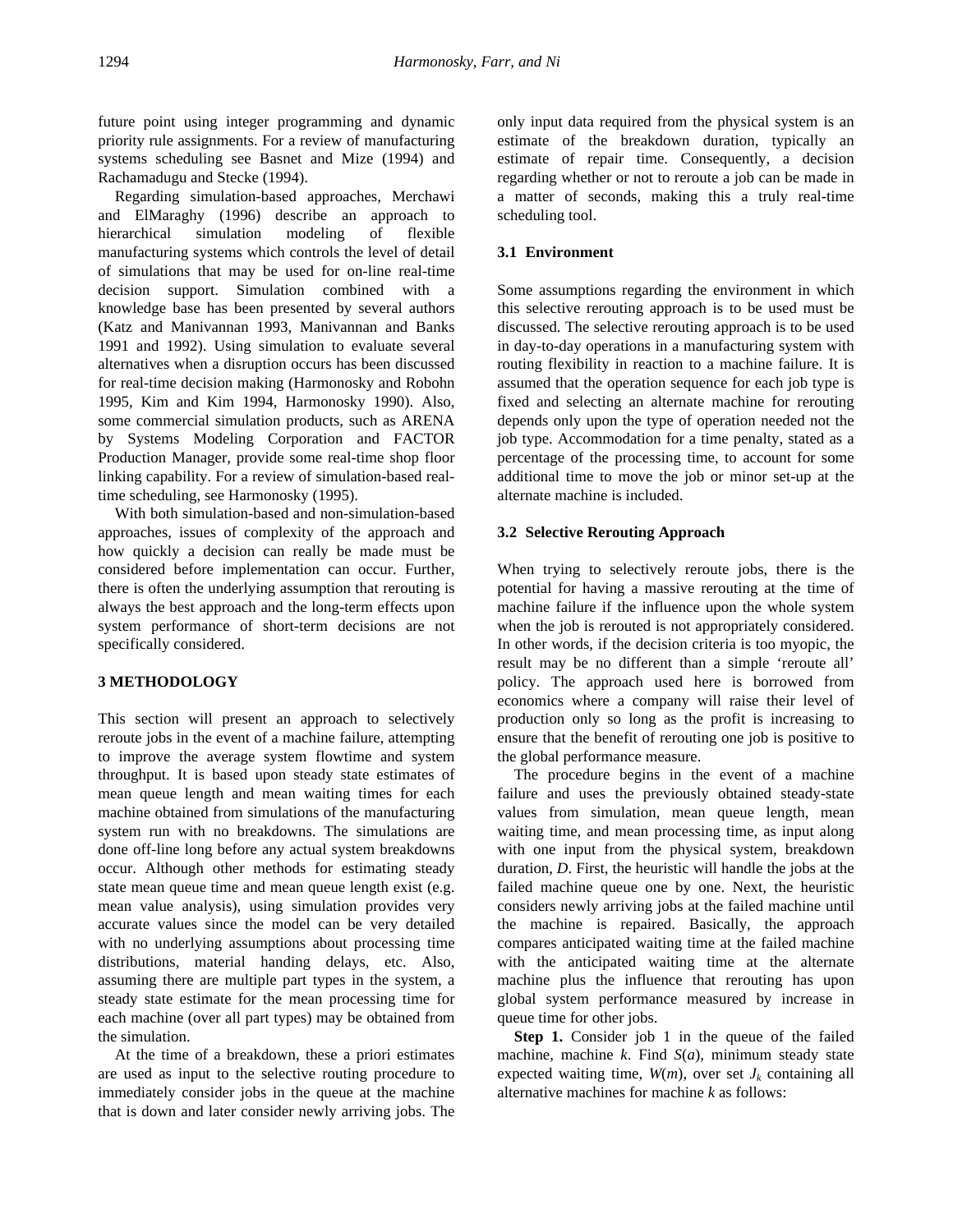future point using integer programming and dynamic priority rule assignments. For a review of manufacturing systems scheduling see Basnet and Mize (1994) and Rachamadugu and Stecke (1994).

Regarding simulation-based approaches, Merchawi and ElMaraghy (1996) describe an approach to hierarchical simulation modeling of flexible manufacturing systems which controls the level of detail of simulations that may be used for on-line real-time decision support. Simulation combined with a knowledge base has been presented by several authors (Katz and Manivannan 1993, Manivannan and Banks 1991 and 1992). Using simulation to evaluate several alternatives when a disruption occurs has been discussed for real-time decision making (Harmonosky and Robohn 1995, Kim and Kim 1994, Harmonosky 1990). Also, some commercial simulation products, such as ARENA by Systems Modeling Corporation and FACTOR Production Manager, provide some real-time shop floor linking capability. For a review of simulation-based realtime scheduling, see Harmonosky (1995).

With both simulation-based and non-simulation-based approaches, issues of complexity of the approach and how quickly a decision can really be made must be considered before implementation can occur. Further, there is often the underlying assumption that rerouting is always the best approach and the long-term effects upon system performance of short-term decisions are not specifically considered.

# **3 METHODOLOGY**

This section will present an approach to selectively reroute jobs in the event of a machine failure, attempting to improve the average system flowtime and system throughput. It is based upon steady state estimates of mean queue length and mean waiting times for each machine obtained from simulations of the manufacturing system run with no breakdowns. The simulations are done off-line long before any actual system breakdowns occur. Although other methods for estimating steady state mean queue time and mean queue length exist (e.g. mean value analysis), using simulation provides very accurate values since the model can be very detailed with no underlying assumptions about processing time distributions, material handing delays, etc. Also, assuming there are multiple part types in the system, a steady state estimate for the mean processing time for each machine (over all part types) may be obtained from the simulation.

At the time of a breakdown, these a priori estimates are used as input to the selective routing procedure to immediately consider jobs in the queue at the machine that is down and later consider newly arriving jobs. The

only input data required from the physical system is an estimate of the breakdown duration, typically an estimate of repair time. Consequently, a decision regarding whether or not to reroute a job can be made in a matter of seconds, making this a truly real-time scheduling tool.

# **3.1 Environment**

Some assumptions regarding the environment in which this selective rerouting approach is to be used must be discussed. The selective rerouting approach is to be used in day-to-day operations in a manufacturing system with routing flexibility in reaction to a machine failure. It is assumed that the operation sequence for each job type is fixed and selecting an alternate machine for rerouting depends only upon the type of operation needed not the job type. Accommodation for a time penalty, stated as a percentage of the processing time, to account for some additional time to move the job or minor set-up at the alternate machine is included.

### **3.2 Selective Rerouting Approach**

When trying to selectively reroute jobs, there is the potential for having a massive rerouting at the time of machine failure if the influence upon the whole system when the job is rerouted is not appropriately considered. In other words, if the decision criteria is too myopic, the result may be no different than a simple 'reroute all' policy. The approach used here is borrowed from economics where a company will raise their level of production only so long as the profit is increasing to ensure that the benefit of rerouting one job is positive to the global performance measure.

The procedure begins in the event of a machine failure and uses the previously obtained steady-state values from simulation, mean queue length, mean waiting time, and mean processing time, as input along with one input from the physical system, breakdown duration, *D*. First, the heuristic will handle the jobs at the failed machine queue one by one. Next, the heuristic considers newly arriving jobs at the failed machine until the machine is repaired. Basically, the approach compares anticipated waiting time at the failed machine with the anticipated waiting time at the alternate machine plus the influence that rerouting has upon global system performance measured by increase in queue time for other jobs.

**Step 1.** Consider job 1 in the queue of the failed machine, machine *k*. Find *S*(*a*), minimum steady state expected waiting time,  $W(m)$ , over set  $J_k$  containing all alternative machines for machine *k* as follows: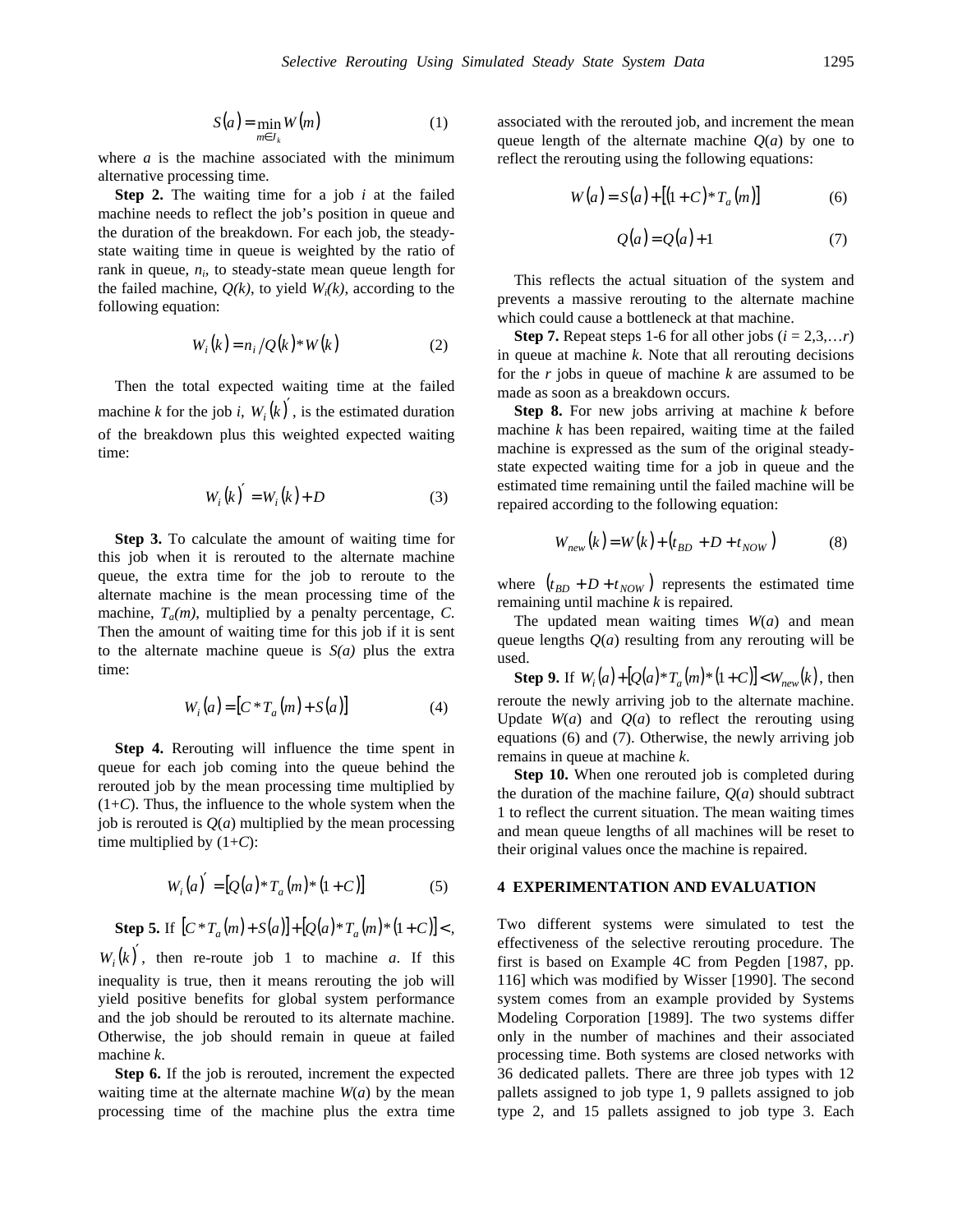$$
S(a) = \min_{m \in J_k} W(m) \tag{1}
$$

where *a* is the machine associated with the minimum alternative processing time.

**Step 2.** The waiting time for a job *i* at the failed machine needs to reflect the job's position in queue and the duration of the breakdown. For each job, the steadystate waiting time in queue is weighted by the ratio of rank in queue, *ni,* to steady-state mean queue length for the failed machine,  $Q(k)$ , to yield  $W<sub>i</sub>(k)$ , according to the following equation:

$$
W_i(k) = n_i / Q(k) * W(k)
$$
 (2)

Then the total expected waiting time at the failed machine *k* for the job *i*,  $W_i(k)$ , is the estimated duration of the breakdown plus this weighted expected waiting time:

$$
W_i(k) = W_i(k) + D \tag{3}
$$

**Step 3.** To calculate the amount of waiting time for this job when it is rerouted to the alternate machine queue, the extra time for the job to reroute to the alternate machine is the mean processing time of the machine,  $T_a(m)$ , multiplied by a penalty percentage, *C*. Then the amount of waiting time for this job if it is sent to the alternate machine queue is  $S(a)$  plus the extra time:

$$
W_i(a) = [C * T_a(m) + S(a)] \tag{4}
$$

**Step 4.** Rerouting will influence the time spent in queue for each job coming into the queue behind the rerouted job by the mean processing time multiplied by  $(1+C)$ . Thus, the influence to the whole system when the job is rerouted is  $Q(a)$  multiplied by the mean processing time multiplied by  $(1+C)$ :

$$
W_i(a)' = [Q(a)*T_a(m)*(1+C)]
$$
 (5)

**Step 5.** If  $[C * T_a(m) + S(a)] + [Q(a) * T_a(m) * (1 + C)] <$ ,

 $W_i(k)$ , then re-route job 1 to machine *a*. If this inequality is true, then it means rerouting the job will yield positive benefits for global system performance and the job should be rerouted to its alternate machine. Otherwise, the job should remain in queue at failed machine *k*.

**Step 6.** If the job is rerouted, increment the expected waiting time at the alternate machine  $W(a)$  by the mean processing time of the machine plus the extra time

associated with the rerouted job, and increment the mean queue length of the alternate machine  $Q(a)$  by one to reflect the rerouting using the following equations:

$$
W(a) = S(a) + [(1+C)*T_a(m)] \tag{6}
$$

$$
Q(a) = Q(a) + 1 \tag{7}
$$

This reflects the actual situation of the system and prevents a massive rerouting to the alternate machine which could cause a bottleneck at that machine.

**Step 7.** Repeat steps 1-6 for all other jobs  $(i = 2,3,...r)$ in queue at machine *k*. Note that all rerouting decisions for the *r* jobs in queue of machine *k* are assumed to be made as soon as a breakdown occurs.

**Step 8.** For new jobs arriving at machine *k* before machine *k* has been repaired, waiting time at the failed machine is expressed as the sum of the original steadystate expected waiting time for a job in queue and the estimated time remaining until the failed machine will be repaired according to the following equation:

$$
W_{new}(k) = W(k) + (t_{BD} + D + t_{now})
$$
 (8)

where  $(t_{BD} + D + t_{Now})$  represents the estimated time remaining until machine *k* is repaired.

The updated mean waiting times *W*(*a*) and mean queue lengths *Q*(*a*) resulting from any rerouting will be used.

**Step 9.** If  $W_i(a) + [Q(a)*T_a(m)*(1+C)] < W_{new}(k)$ , then reroute the newly arriving job to the alternate machine. Update  $W(a)$  and  $Q(a)$  to reflect the rerouting using equations (6) and (7). Otherwise, the newly arriving job remains in queue at machine *k*.

**Step 10.** When one rerouted job is completed during the duration of the machine failure,  $Q(a)$  should subtract 1 to reflect the current situation. The mean waiting times and mean queue lengths of all machines will be reset to their original values once the machine is repaired.

#### **4 EXPERIMENTATION AND EVALUATION**

Two different systems were simulated to test the effectiveness of the selective rerouting procedure. The first is based on Example 4C from Pegden [1987, pp. 116] which was modified by Wisser [1990]. The second system comes from an example provided by Systems Modeling Corporation [1989]. The two systems differ only in the number of machines and their associated processing time. Both systems are closed networks with 36 dedicated pallets. There are three job types with 12 pallets assigned to job type 1, 9 pallets assigned to job type 2, and 15 pallets assigned to job type 3. Each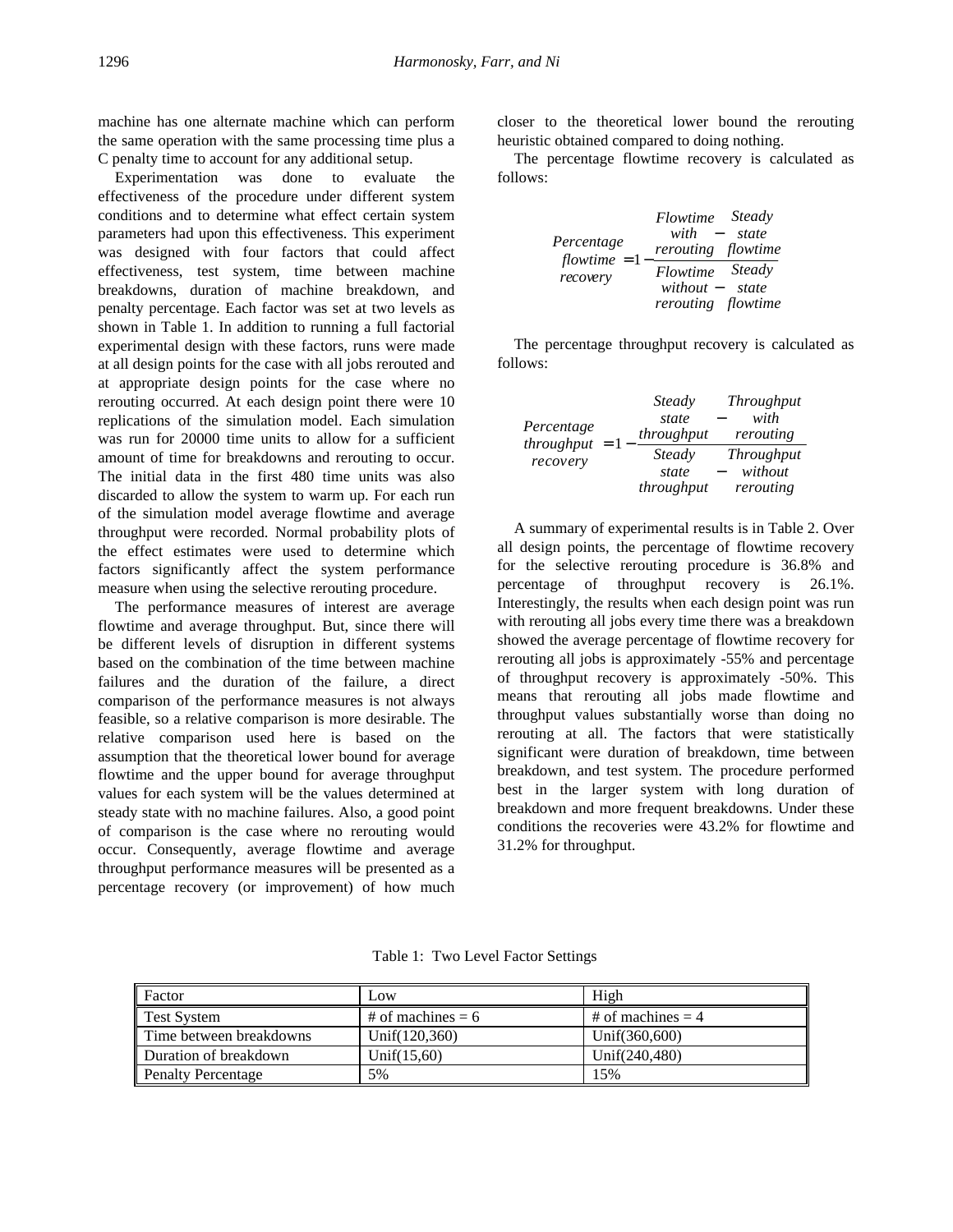machine has one alternate machine which can perform the same operation with the same processing time plus a C penalty time to account for any additional setup.

Experimentation was done to evaluate the effectiveness of the procedure under different system conditions and to determine what effect certain system parameters had upon this effectiveness. This experiment was designed with four factors that could affect effectiveness, test system, time between machine breakdowns, duration of machine breakdown, and penalty percentage. Each factor was set at two levels as shown in Table 1. In addition to running a full factorial experimental design with these factors, runs were made at all design points for the case with all jobs rerouted and at appropriate design points for the case where no rerouting occurred. At each design point there were 10 replications of the simulation model. Each simulation was run for 20000 time units to allow for a sufficient amount of time for breakdowns and rerouting to occur. The initial data in the first 480 time units was also discarded to allow the system to warm up. For each run of the simulation model average flowtime and average throughput were recorded. Normal probability plots of the effect estimates were used to determine which factors significantly affect the system performance measure when using the selective rerouting procedure.

The performance measures of interest are average flowtime and average throughput. But, since there will be different levels of disruption in different systems based on the combination of the time between machine failures and the duration of the failure, a direct comparison of the performance measures is not always feasible, so a relative comparison is more desirable. The relative comparison used here is based on the assumption that the theoretical lower bound for average flowtime and the upper bound for average throughput values for each system will be the values determined at steady state with no machine failures. Also, a good point of comparison is the case where no rerouting would occur. Consequently, average flowtime and average throughput performance measures will be presented as a percentage recovery (or improvement) of how much

closer to the theoretical lower bound the rerouting heuristic obtained compared to doing nothing.

The percentage flowtime recovery is calculated as follows:

| Flowtime                                    | Steady  |        |
|---------------------------------------------|---------|--------|
| $Percentage$                                | with    | —state |
| $flowtime = 1 - \frac{reroutine}{Flowtime}$ | Steady  |        |
| $recovery$                                  | Without | state  |
| $revuting$ flowtime                         |         |        |

The percentage throughput recovery is calculated as follows:

|                                              | Steady              | <i>Throughput</i>    |
|----------------------------------------------|---------------------|----------------------|
| Percentage<br>throughput<br>$=1$<br>recovery | state<br>throughput | with<br>rerouting    |
|                                              | Steady              | <b>Throughput</b>    |
|                                              | state<br>throughput | without<br>rerouting |

A summary of experimental results is in Table 2. Over all design points, the percentage of flowtime recovery for the selective rerouting procedure is 36.8% and percentage of throughput recovery is 26.1%. Interestingly, the results when each design point was run with rerouting all jobs every time there was a breakdown showed the average percentage of flowtime recovery for rerouting all jobs is approximately -55% and percentage of throughput recovery is approximately -50%. This means that rerouting all jobs made flowtime and throughput values substantially worse than doing no rerouting at all. The factors that were statistically significant were duration of breakdown, time between breakdown, and test system. The procedure performed best in the larger system with long duration of breakdown and more frequent breakdowns. Under these conditions the recoveries were 43.2% for flowtime and 31.2% for throughput.

Table 1: Two Level Factor Settings

| <b>Factor</b>             | Low                 | High                |
|---------------------------|---------------------|---------------------|
|                           |                     |                     |
| <b>Test System</b>        | # of machines $= 6$ | # of machines $=$ 4 |
| Time between breakdowns   | Unif( $120,360$ )   | Unif(360,600)       |
| Duration of breakdown     | Unif( $15,60$ )     | Unif(240.480)       |
| <b>Penalty Percentage</b> | 5%                  | 15%                 |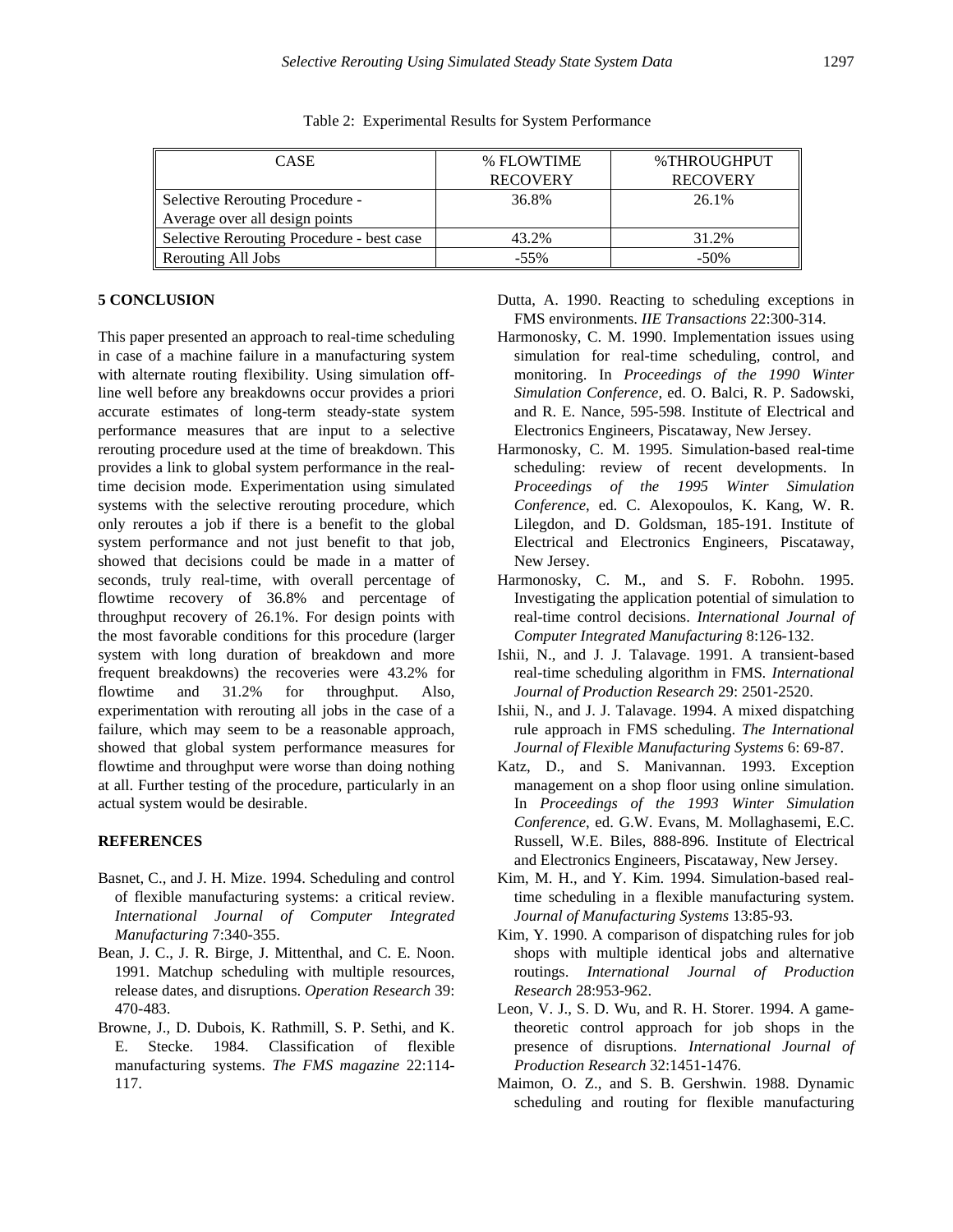| <b>CASE</b>                                                       | % FLOWTIME<br><b>RECOVERY</b> | %THROUGHPUT<br><b>RECOVERY</b> |
|-------------------------------------------------------------------|-------------------------------|--------------------------------|
| Selective Rerouting Procedure -<br>Average over all design points | 36.8%                         | 26.1%                          |
| Selective Rerouting Procedure - best case                         | 43.2%                         | 31.2%                          |
| Rerouting All Jobs                                                | $-55%$                        | $-50\%$                        |

Table 2: Experimental Results for System Performance

# **5 CONCLUSION**

This paper presented an approach to real-time scheduling in case of a machine failure in a manufacturing system with alternate routing flexibility. Using simulation offline well before any breakdowns occur provides a priori accurate estimates of long-term steady-state system performance measures that are input to a selective rerouting procedure used at the time of breakdown. This provides a link to global system performance in the realtime decision mode. Experimentation using simulated systems with the selective rerouting procedure, which only reroutes a job if there is a benefit to the global system performance and not just benefit to that job, showed that decisions could be made in a matter of seconds, truly real-time, with overall percentage of flowtime recovery of 36.8% and percentage of throughput recovery of 26.1%. For design points with the most favorable conditions for this procedure (larger system with long duration of breakdown and more frequent breakdowns) the recoveries were 43.2% for flowtime and 31.2% for throughput. Also, experimentation with rerouting all jobs in the case of a failure, which may seem to be a reasonable approach, showed that global system performance measures for flowtime and throughput were worse than doing nothing at all. Further testing of the procedure, particularly in an actual system would be desirable.

### **REFERENCES**

- Basnet, C., and J. H. Mize. 1994. Scheduling and control of flexible manufacturing systems: a critical review. *International Journal of Computer Integrated Manufacturing* 7:340-355.
- Bean, J. C., J. R. Birge, J. Mittenthal, and C. E. Noon. 1991. Matchup scheduling with multiple resources, release dates, and disruptions. *Operation Research* 39: 470-483.
- Browne, J., D. Dubois, K. Rathmill, S. P. Sethi, and K. E. Stecke. 1984. Classification of flexible manufacturing systems. *The FMS magazine* 22:114- 117.
- Dutta, A. 1990. Reacting to scheduling exceptions in FMS environments. *IIE Transactions* 22:300-314.
- Harmonosky, C. M. 1990. Implementation issues using simulation for real-time scheduling, control, and monitoring. In *Proceedings of the 1990 Winter Simulation Conference*, ed. O. Balci, R. P. Sadowski, and R. E. Nance, 595-598. Institute of Electrical and Electronics Engineers, Piscataway, New Jersey.
- Harmonosky, C. M. 1995. Simulation-based real-time scheduling: review of recent developments. In *Proceedings of the 1995 Winter Simulation Conference*, ed. C. Alexopoulos, K. Kang, W. R. Lilegdon, and D. Goldsman, 185-191. Institute of Electrical and Electronics Engineers, Piscataway, New Jersey.
- Harmonosky, C. M., and S. F. Robohn. 1995. Investigating the application potential of simulation to real-time control decisions. *International Journal of Computer Integrated Manufacturing* 8:126-132.
- Ishii, N., and J. J. Talavage. 1991. A transient-based real-time scheduling algorithm in FMS*. International Journal of Production Research* 29: 2501-2520.
- Ishii, N., and J. J. Talavage. 1994. A mixed dispatching rule approach in FMS scheduling. *The International Journal of Flexible Manufacturing Systems* 6: 69-87.
- Katz, D., and S. Manivannan. 1993. Exception management on a shop floor using online simulation. In *Proceedings of the 1993 Winter Simulation Conference*, ed. G.W. Evans, M. Mollaghasemi, E.C. Russell, W.E. Biles, 888-896. Institute of Electrical and Electronics Engineers, Piscataway, New Jersey.
- Kim, M. H., and Y. Kim. 1994. Simulation-based realtime scheduling in a flexible manufacturing system. *Journal of Manufacturing Systems* 13:85-93.
- Kim, Y. 1990. A comparison of dispatching rules for job shops with multiple identical jobs and alternative routings. *International Journal of Production Research* 28:953-962.
- Leon, V. J., S. D. Wu, and R. H. Storer. 1994. A gametheoretic control approach for job shops in the presence of disruptions. *International Journal of Production Research* 32:1451-1476.
- Maimon, O. Z., and S. B. Gershwin. 1988. Dynamic scheduling and routing for flexible manufacturing